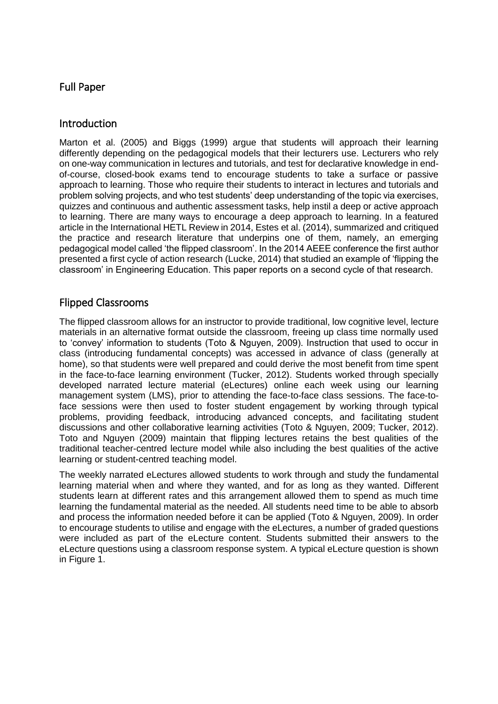## Full Paper

### Introduction

Marton et al. (2005) and Biggs (1999) argue that students will approach their learning differently depending on the pedagogical models that their lecturers use. Lecturers who rely on one-way communication in lectures and tutorials, and test for declarative knowledge in endof-course, closed-book exams tend to encourage students to take a surface or passive approach to learning. Those who require their students to interact in lectures and tutorials and problem solving projects, and who test students' deep understanding of the topic via exercises, quizzes and continuous and authentic assessment tasks, help instil a deep or active approach to learning. There are many ways to encourage a deep approach to learning. In a featured article in the International HETL Review in 2014, Estes et al. (2014), summarized and critiqued the practice and research literature that underpins one of them, namely, an emerging pedagogical model called 'the flipped classroom'. In the 2014 AEEE conference the first author presented a first cycle of action research (Lucke, 2014) that studied an example of 'flipping the classroom' in Engineering Education. This paper reports on a second cycle of that research.

### Flipped Classrooms

The flipped classroom allows for an instructor to provide traditional, low cognitive level, lecture materials in an alternative format outside the classroom, freeing up class time normally used to 'convey' information to students (Toto & Nguyen, 2009). Instruction that used to occur in class (introducing fundamental concepts) was accessed in advance of class (generally at home), so that students were well prepared and could derive the most benefit from time spent in the face-to-face learning environment (Tucker, 2012). Students worked through specially developed narrated lecture material (eLectures) online each week using our learning management system (LMS), prior to attending the face-to-face class sessions. The face-toface sessions were then used to foster student engagement by working through typical problems, providing feedback, introducing advanced concepts, and facilitating student discussions and other collaborative learning activities (Toto & Nguyen, 2009; Tucker, 2012). Toto and Nguyen (2009) maintain that flipping lectures retains the best qualities of the traditional teacher-centred lecture model while also including the best qualities of the active learning or student-centred teaching model.

The weekly narrated eLectures allowed students to work through and study the fundamental learning material when and where they wanted, and for as long as they wanted. Different students learn at different rates and this arrangement allowed them to spend as much time learning the fundamental material as the needed. All students need time to be able to absorb and process the information needed before it can be applied (Toto & Nguyen, 2009). In order to encourage students to utilise and engage with the eLectures, a number of graded questions were included as part of the eLecture content. Students submitted their answers to the eLecture questions using a classroom response system. A typical eLecture question is shown in Figure 1.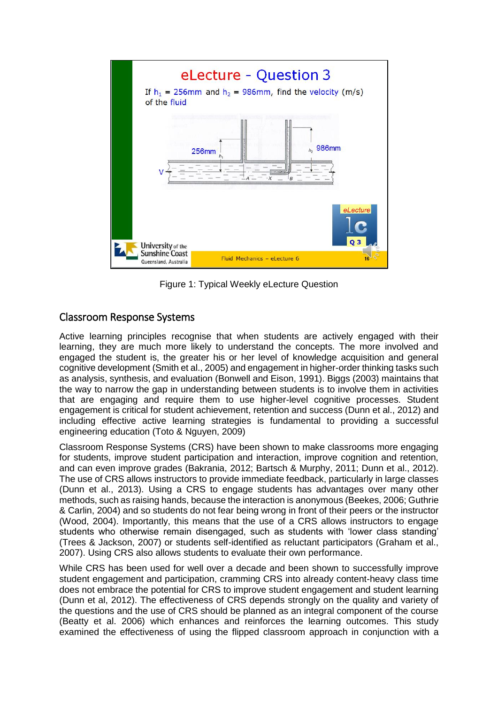

Figure 1: Typical Weekly eLecture Question

## Classroom Response Systems

Active learning principles recognise that when students are actively engaged with their learning, they are much more likely to understand the concepts. The more involved and engaged the student is, the greater his or her level of knowledge acquisition and general cognitive development (Smith et al., 2005) and engagement in higher-order thinking tasks such as analysis, synthesis, and evaluation (Bonwell and Eison, 1991). Biggs (2003) maintains that the way to narrow the gap in understanding between students is to involve them in activities that are engaging and require them to use higher-level cognitive processes. Student engagement is critical for student achievement, retention and success (Dunn et al., 2012) and including effective active learning strategies is fundamental to providing a successful engineering education (Toto & Nguyen, 2009)

Classroom Response Systems (CRS) have been shown to make classrooms more engaging for students, improve student participation and interaction, improve cognition and retention, and can even improve grades (Bakrania, 2012; Bartsch & Murphy, 2011; Dunn et al., 2012). The use of CRS allows instructors to provide immediate feedback, particularly in large classes (Dunn et al., 2013). Using a CRS to engage students has advantages over many other methods, such as raising hands, because the interaction is anonymous (Beekes, 2006; Guthrie & Carlin, 2004) and so students do not fear being wrong in front of their peers or the instructor (Wood, 2004). Importantly, this means that the use of a CRS allows instructors to engage students who otherwise remain disengaged, such as students with 'lower class standing' (Trees & Jackson, 2007) or students self-identified as reluctant participators (Graham et al., 2007). Using CRS also allows students to evaluate their own performance.

While CRS has been used for well over a decade and been shown to successfully improve student engagement and participation, cramming CRS into already content-heavy class time does not embrace the potential for CRS to improve student engagement and student learning (Dunn et al, 2012). The effectiveness of CRS depends strongly on the quality and variety of the questions and the use of CRS should be planned as an integral component of the course (Beatty et al. 2006) which enhances and reinforces the learning outcomes. This study examined the effectiveness of using the flipped classroom approach in conjunction with a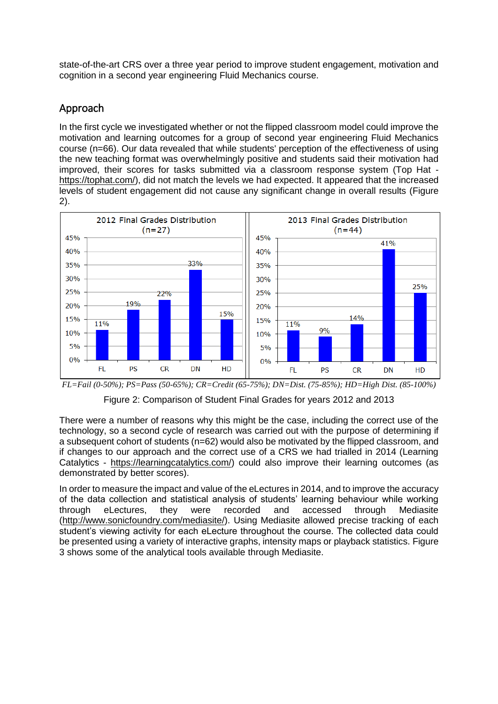state-of-the-art CRS over a three year period to improve student engagement, motivation and cognition in a second year engineering Fluid Mechanics course.

# Approach

In the first cycle we investigated whether or not the flipped classroom model could improve the motivation and learning outcomes for a group of second year engineering Fluid Mechanics course (n=66). Our data revealed that while students' perception of the effectiveness of using the new teaching format was overwhelmingly positive and students said their motivation had improved, their scores for tasks submitted via a classroom response system (Top Hat [https://tophat.com/\)](https://tophat.com/), did not match the levels we had expected. It appeared that the increased levels of student engagement did not cause any significant change in overall results (Figure 2).



*FL=Fail (0-50%); PS=Pass (50-65%); CR=Credit (65-75%); DN=Dist. (75-85%); HD=High Dist. (85-100%)*

Figure 2: Comparison of Student Final Grades for years 2012 and 2013

There were a number of reasons why this might be the case, including the correct use of the technology, so a second cycle of research was carried out with the purpose of determining if a subsequent cohort of students (n=62) would also be motivated by the flipped classroom, and if changes to our approach and the correct use of a CRS we had trialled in 2014 (Learning Catalytics - [https://learningcatalytics.com/\)](https://learningcatalytics.com/) could also improve their learning outcomes (as demonstrated by better scores).

In order to measure the impact and value of the eLectures in 2014, and to improve the accuracy of the data collection and statistical analysis of students' learning behaviour while working through eLectures, they were recorded and accessed through Mediasite [\(http://www.sonicfoundry.com/mediasite/\)](http://www.sonicfoundry.com/mediasite/). Using Mediasite allowed precise tracking of each student's viewing activity for each eLecture throughout the course. The collected data could be presented using a variety of interactive graphs, intensity maps or playback statistics. Figure 3 shows some of the analytical tools available through Mediasite.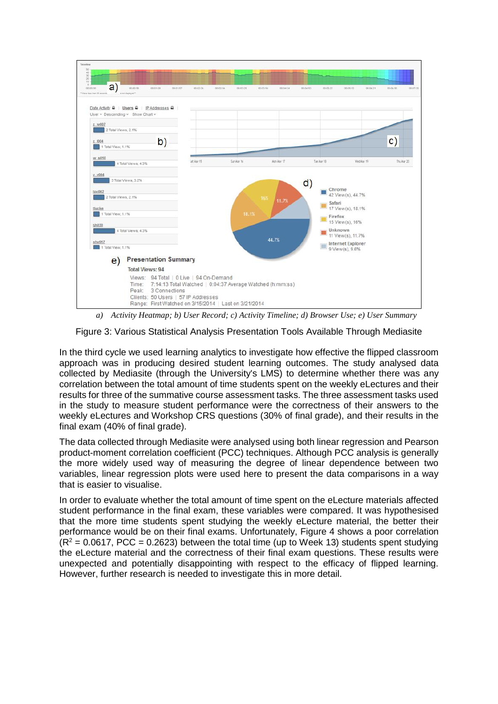

*a) Activity Heatmap; b) User Record; c) Activity Timeline; d) Browser Use; e) User Summary*

Figure 3: Various Statistical Analysis Presentation Tools Available Through Mediasite

In the third cycle we used learning analytics to investigate how effective the flipped classroom approach was in producing desired student learning outcomes. The study analysed data collected by Mediasite (through the University's LMS) to determine whether there was any correlation between the total amount of time students spent on the weekly eLectures and their results for three of the summative course assessment tasks. The three assessment tasks used in the study to measure student performance were the correctness of their answers to the weekly eLectures and Workshop CRS questions (30% of final grade), and their results in the final exam (40% of final grade).

The data collected through Mediasite were analysed using both linear regression and Pearson product-moment correlation coefficient (PCC) techniques. Although PCC analysis is generally the more widely used way of measuring the degree of linear dependence between two variables, linear regression plots were used here to present the data comparisons in a way that is easier to visualise.

In order to evaluate whether the total amount of time spent on the eLecture materials affected student performance in the final exam, these variables were compared. It was hypothesised that the more time students spent studying the weekly eLecture material, the better their performance would be on their final exams. Unfortunately, Figure 4 shows a poor correlation  $(R^2 = 0.0617, PCC = 0.2623)$  between the total time (up to Week 13) students spent studying the eLecture material and the correctness of their final exam questions. These results were unexpected and potentially disappointing with respect to the efficacy of flipped learning. However, further research is needed to investigate this in more detail.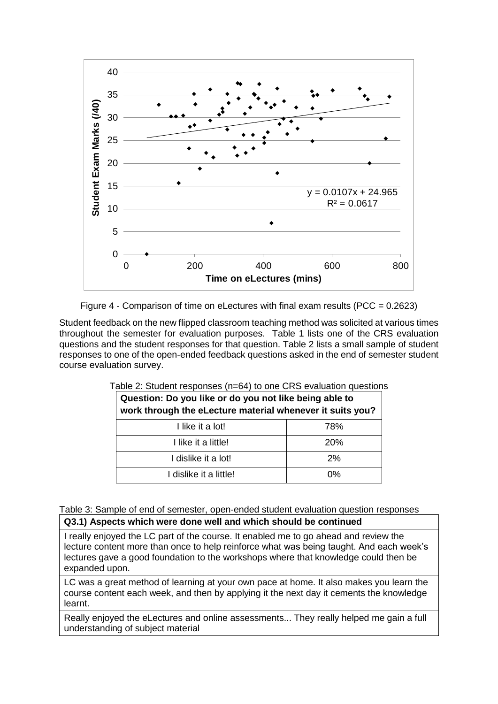



Student feedback on the new flipped classroom teaching method was solicited at various times throughout the semester for evaluation purposes. Table 1 lists one of the CRS evaluation questions and the student responses for that question. Table 2 lists a small sample of student responses to one of the open-ended feedback questions asked in the end of semester student course evaluation survey.

| Question: Do you like or do you not like being able to<br>work through the eLecture material whenever it suits you? |     |
|---------------------------------------------------------------------------------------------------------------------|-----|
| I like it a lot!                                                                                                    | 78% |
| I like it a little!                                                                                                 | 20% |
| I dislike it a lot!                                                                                                 | 2%  |
| I dislike it a little!                                                                                              | 0%  |

Table 2: Student responses (n=64) to one CRS evaluation questions

Table 3: Sample of end of semester, open-ended student evaluation question responses

#### **Q3.1) Aspects which were done well and which should be continued**

I really enjoyed the LC part of the course. It enabled me to go ahead and review the lecture content more than once to help reinforce what was being taught. And each week's lectures gave a good foundation to the workshops where that knowledge could then be expanded upon.

LC was a great method of learning at your own pace at home. It also makes you learn the course content each week, and then by applying it the next day it cements the knowledge learnt.

Really enjoyed the eLectures and online assessments... They really helped me gain a full understanding of subject material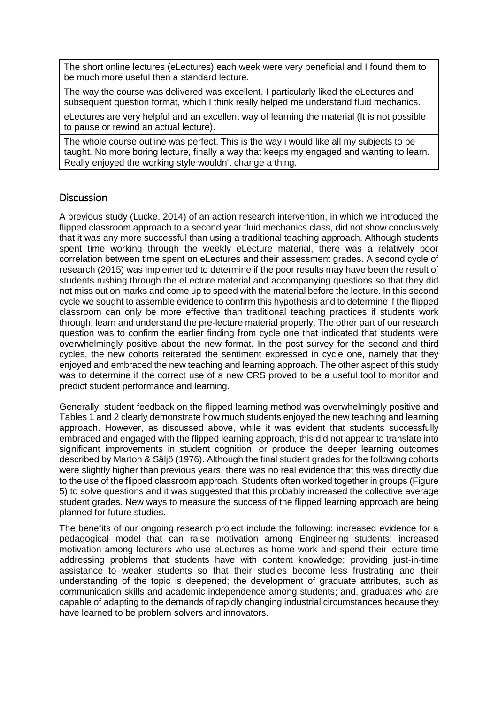The short online lectures (eLectures) each week were very beneficial and I found them to be much more useful then a standard lecture.

The way the course was delivered was excellent. I particularly liked the eLectures and subsequent question format, which I think really helped me understand fluid mechanics.

eLectures are very helpful and an excellent way of learning the material (It is not possible to pause or rewind an actual lecture).

The whole course outline was perfect. This is the way i would like all my subjects to be taught. No more boring lecture, finally a way that keeps my engaged and wanting to learn. Really enjoyed the working style wouldn't change a thing.

### **Discussion**

A previous study (Lucke, 2014) of an action research intervention, in which we introduced the flipped classroom approach to a second year fluid mechanics class, did not show conclusively that it was any more successful than using a traditional teaching approach. Although students spent time working through the weekly eLecture material, there was a relatively poor correlation between time spent on eLectures and their assessment grades. A second cycle of research (2015) was implemented to determine if the poor results may have been the result of students rushing through the eLecture material and accompanying questions so that they did not miss out on marks and come up to speed with the material before the lecture. In this second cycle we sought to assemble evidence to confirm this hypothesis and to determine if the flipped classroom can only be more effective than traditional teaching practices if students work through, learn and understand the pre-lecture material properly. The other part of our research question was to confirm the earlier finding from cycle one that indicated that students were overwhelmingly positive about the new format. In the post survey for the second and third cycles, the new cohorts reiterated the sentiment expressed in cycle one, namely that they enjoyed and embraced the new teaching and learning approach. The other aspect of this study was to determine if the correct use of a new CRS proved to be a useful tool to monitor and predict student performance and learning.

Generally, student feedback on the flipped learning method was overwhelmingly positive and Tables 1 and 2 clearly demonstrate how much students enjoyed the new teaching and learning approach. However, as discussed above, while it was evident that students successfully embraced and engaged with the flipped learning approach, this did not appear to translate into significant improvements in student cognition, or produce the deeper learning outcomes described by Marton & Säljö (1976). Although the final student grades for the following cohorts were slightly higher than previous years, there was no real evidence that this was directly due to the use of the flipped classroom approach. Students often worked together in groups (Figure 5) to solve questions and it was suggested that this probably increased the collective average student grades. New ways to measure the success of the flipped learning approach are being planned for future studies.

The benefits of our ongoing research project include the following: increased evidence for a pedagogical model that can raise motivation among Engineering students; increased motivation among lecturers who use eLectures as home work and spend their lecture time addressing problems that students have with content knowledge; providing just-in-time assistance to weaker students so that their studies become less frustrating and their understanding of the topic is deepened; the development of graduate attributes, such as communication skills and academic independence among students; and, graduates who are capable of adapting to the demands of rapidly changing industrial circumstances because they have learned to be problem solvers and innovators.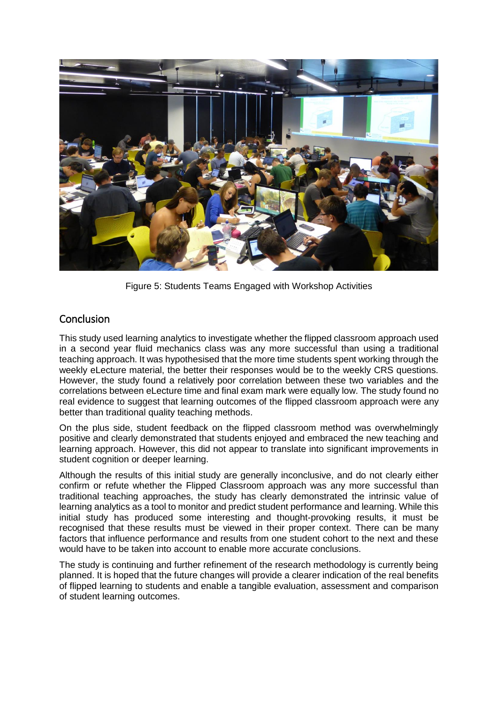

Figure 5: Students Teams Engaged with Workshop Activities

## Conclusion

This study used learning analytics to investigate whether the flipped classroom approach used in a second year fluid mechanics class was any more successful than using a traditional teaching approach. It was hypothesised that the more time students spent working through the weekly eLecture material, the better their responses would be to the weekly CRS questions. However, the study found a relatively poor correlation between these two variables and the correlations between eLecture time and final exam mark were equally low. The study found no real evidence to suggest that learning outcomes of the flipped classroom approach were any better than traditional quality teaching methods.

On the plus side, student feedback on the flipped classroom method was overwhelmingly positive and clearly demonstrated that students enjoyed and embraced the new teaching and learning approach. However, this did not appear to translate into significant improvements in student cognition or deeper learning.

Although the results of this initial study are generally inconclusive, and do not clearly either confirm or refute whether the Flipped Classroom approach was any more successful than traditional teaching approaches, the study has clearly demonstrated the intrinsic value of learning analytics as a tool to monitor and predict student performance and learning. While this initial study has produced some interesting and thought-provoking results, it must be recognised that these results must be viewed in their proper context. There can be many factors that influence performance and results from one student cohort to the next and these would have to be taken into account to enable more accurate conclusions.

The study is continuing and further refinement of the research methodology is currently being planned. It is hoped that the future changes will provide a clearer indication of the real benefits of flipped learning to students and enable a tangible evaluation, assessment and comparison of student learning outcomes.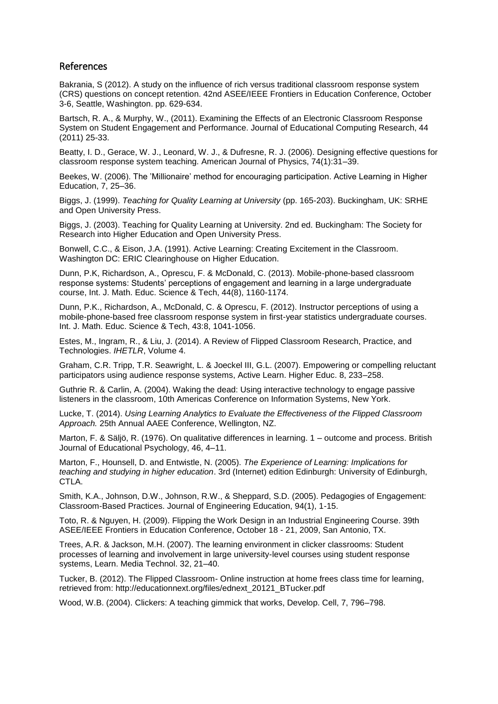### References

Bakrania, S (2012). A study on the influence of rich versus traditional classroom response system (CRS) questions on concept retention. 42nd ASEE/IEEE Frontiers in Education Conference, October 3-6, Seattle, Washington. pp. 629-634.

Bartsch, R. A., & Murphy, W., (2011). Examining the Effects of an Electronic Classroom Response System on Student Engagement and Performance. Journal of Educational Computing Research, 44 (2011) 25-33.

Beatty, I. D., Gerace, W. J., Leonard, W. J., & Dufresne, R. J. (2006). Designing effective questions for classroom response system teaching. American Journal of Physics, 74(1):31–39.

Beekes, W. (2006). The 'Millionaire' method for encouraging participation. Active Learning in Higher Education, 7, 25–36.

Biggs, J. (1999). *Teaching for Quality Learning at University* (pp. 165-203). Buckingham, UK: SRHE and Open University Press.

Biggs, J. (2003). Teaching for Quality Learning at University. 2nd ed. Buckingham: The Society for Research into Higher Education and Open University Press.

Bonwell, C.C., & Eison, J.A. (1991). Active Learning: Creating Excitement in the Classroom. Washington DC: ERIC Clearinghouse on Higher Education.

Dunn, P.K, Richardson, A., Oprescu, F. & McDonald, C. (2013). Mobile-phone-based classroom response systems: Students' perceptions of engagement and learning in a large undergraduate course, Int. J. Math. Educ. Science & Tech, 44(8), 1160-1174.

Dunn, P.K., Richardson, A., McDonald, C. & Oprescu, F. (2012). Instructor perceptions of using a mobile-phone-based free classroom response system in first-year statistics undergraduate courses. Int. J. Math. Educ. Science & Tech, 43:8, 1041-1056.

Estes, M., Ingram, R., & Liu, J. (2014). A Review of Flipped Classroom Research, Practice, and Technologies. *IHETLR*, Volume 4.

Graham, C.R. Tripp, T.R. Seawright, L. & Joeckel III, G.L. (2007). Empowering or compelling reluctant participators using audience response systems, Active Learn. Higher Educ. 8, 233–258.

Guthrie R. & Carlin, A. (2004). Waking the dead: Using interactive technology to engage passive listeners in the classroom, 10th Americas Conference on Information Systems, New York.

Lucke, T. (2014). *Using Learning Analytics to Evaluate the Effectiveness of the Flipped Classroom Approach.* 25th Annual AAEE Conference, Wellington, NZ.

Marton, F. & Säljö, R. (1976). On qualitative differences in learning. 1 – outcome and process. British Journal of Educational Psychology, 46, 4–11.

Marton, F., Hounsell, D. and Entwistle, N. (2005). *The Experience of Learning: Implications for teaching and studying in higher education*. 3rd (Internet) edition Edinburgh: University of Edinburgh, CTLA.

Smith, K.A., Johnson, D.W., Johnson, R.W., & Sheppard, S.D. (2005). Pedagogies of Engagement: Classroom-Based Practices. Journal of Engineering Education, 94(1), 1-15.

Toto, R. & Nguyen, H. (2009). Flipping the Work Design in an Industrial Engineering Course. 39th ASEE/IEEE Frontiers in Education Conference, October 18 - 21, 2009, San Antonio, TX.

Trees, A.R. & Jackson, M.H. (2007). The learning environment in clicker classrooms: Student processes of learning and involvement in large university-level courses using student response systems, Learn. Media Technol. 32, 21–40.

Tucker, B. (2012). The Flipped Classroom- Online instruction at home frees class time for learning, retrieved from: http://educationnext.org/files/ednext\_20121\_BTucker.pdf

Wood, W.B. (2004). Clickers: A teaching gimmick that works, Develop. Cell, 7, 796–798.